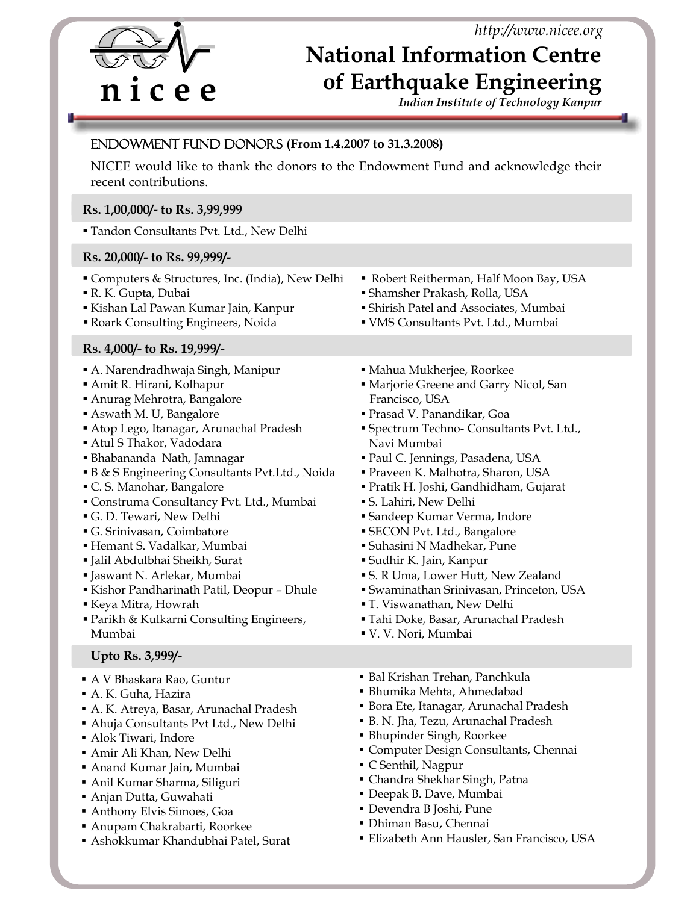*http://www.nicee.org*

# **National Information Centre of Earthquake Engineering**

*Indian Institute of Technology Kanpur* 

# Endowment Fund Donors **(From 1.4.2007 to 31.3.2008)**

NICEE would like to thank the donors to the Endowment Fund and acknowledge their recent contributions.

# **Rs. 1,00,000/- to Rs. 3,99,999**

Tandon Consultants Pvt. Ltd., New Delhi

#### **Rs. 20,000/- to Rs. 99,999/-**

- Computers & Structures, Inc. (India), New Delhi Robert Reitherman, Half Moon Bay, USA Shamsher Prakash, Rolla, USA
- R. K. Gupta, Dubai
- Kishan Lal Pawan Kumar Jain, Kanpur
- Roark Consulting Engineers, Noida

# **Rs. 4,000/- to Rs. 19,999/-**

- A. Narendradhwaja Singh, Manipur
- Amit R. Hirani, Kolhapur
- Anurag Mehrotra, Bangalore
- Aswath M. U, Bangalore
- Atop Lego, Itanagar, Arunachal Pradesh
- Atul S Thakor, Vadodara
- Bhabananda Nath, Jamnagar
- B & S Engineering Consultants Pvt.Ltd., Noida
- C. S. Manohar, Bangalore
- Construma Consultancy Pvt. Ltd., Mumbai
- G. D. Tewari, New Delhi
- G. Srinivasan, Coimbatore
- Hemant S. Vadalkar, Mumbai
- Jalil Abdulbhai Sheikh, Surat
- Jaswant N. Arlekar, Mumbai
- Kishor Pandharinath Patil, Deopur Dhule
- Keya Mitra, Howrah
- Parikh & Kulkarni Consulting Engineers, Mumbai

# **Upto Rs. 3,999/-**

- A V Bhaskara Rao, Guntur
- A. K. Guha, Hazira
- A. K. Atreya, Basar, Arunachal Pradesh
- Ahuja Consultants Pvt Ltd., New Delhi
- Alok Tiwari, Indore
- Amir Ali Khan, New Delhi
- Anand Kumar Jain, Mumbai
- Anil Kumar Sharma, Siliguri
- Anjan Dutta, Guwahati
- Anthony Elvis Simoes, Goa
- Anupam Chakrabarti, Roorkee
- Ashokkumar Khandubhai Patel, Surat
- Mahua Mukherjee, Roorkee
- Marjorie Greene and Garry Nicol, San Francisco, USA

 Shirish Patel and Associates, Mumbai VMS Consultants Pvt. Ltd., Mumbai

- Prasad V. Panandikar, Goa
- Spectrum Techno- Consultants Pvt. Ltd., Navi Mumbai
- Paul C. Jennings, Pasadena, USA
- Praveen K. Malhotra, Sharon, USA
- Pratik H. Joshi, Gandhidham, Gujarat
- S. Lahiri, New Delhi
- Sandeep Kumar Verma, Indore
- SECON Pvt. Ltd., Bangalore
- Suhasini N Madhekar, Pune
- Sudhir K. Jain, Kanpur
- S. R Uma, Lower Hutt, New Zealand
- Swaminathan Srinivasan, Princeton, USA
- T. Viswanathan, New Delhi
- Tahi Doke, Basar, Arunachal Pradesh
- V. V. Nori, Mumbai
- Bal Krishan Trehan, Panchkula
- Bhumika Mehta, Ahmedabad
- Bora Ete, Itanagar, Arunachal Pradesh
- B. N. Jha, Tezu, Arunachal Pradesh
- Bhupinder Singh, Roorkee
- Computer Design Consultants, Chennai
- C Senthil, Nagpur
- Chandra Shekhar Singh, Patna
- Deepak B. Dave, Mumbai
- Devendra B Joshi, Pune
- Dhiman Basu, Chennai
- Elizabeth Ann Hausler, San Francisco, USA



ׇ֚֘֝֬ l